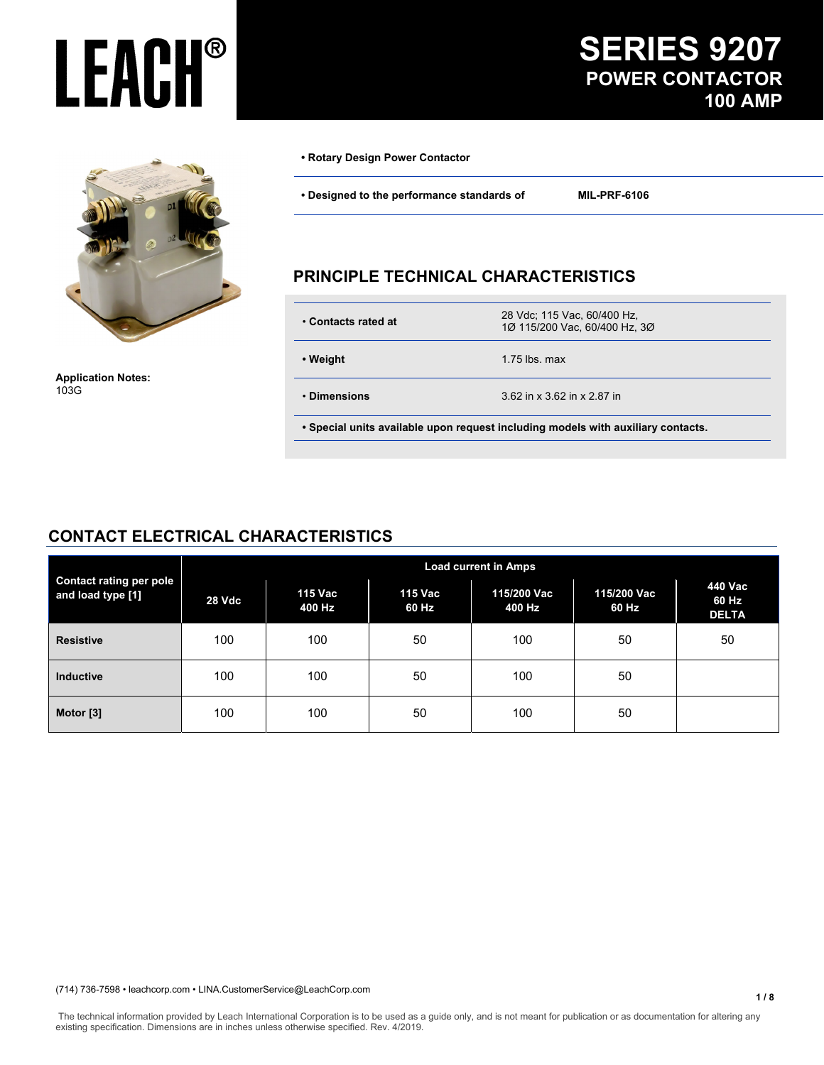

**Application Notes:**  103G

#### **• Rotary Design Power Contactor**

**• Designed to the performance standards of MIL-PRF-6106** 

#### **PRINCIPLE TECHNICAL CHARACTERISTICS**

| ∙ Contacts rated at | 28 Vdc; 115 Vac, 60/400 Hz,<br>1Ø 115/200 Vac, 60/400 Hz, 3Ø |
|---------------------|--------------------------------------------------------------|
| • Weight            | 1.75 lbs. max                                                |
| • Dimensions        | 3.62 in x 3.62 in x 2.87 in                                  |
|                     |                                                              |

 **• Special units available upon request including models with auxiliary contacts.** 

#### **CONTACT ELECTRICAL CHARACTERISTICS**

| <b>Contact rating per pole</b><br>and load type [1] | <b>Load current in Amps</b> |                   |                  |                       |                      |                                  |
|-----------------------------------------------------|-----------------------------|-------------------|------------------|-----------------------|----------------------|----------------------------------|
|                                                     | 28 Vdc                      | 115 Vac<br>400 Hz | 115 Vac<br>60 Hz | 115/200 Vac<br>400 Hz | 115/200 Vac<br>60 Hz | 440 Vac<br>60 Hz<br><b>DELTA</b> |
| <b>Resistive</b>                                    | 100                         | 100               | 50               | 100                   | 50                   | 50                               |
| <b>Inductive</b>                                    | 100                         | 100               | 50               | 100                   | 50                   |                                  |
| Motor [3]                                           | 100                         | 100               | 50               | 100                   | 50                   |                                  |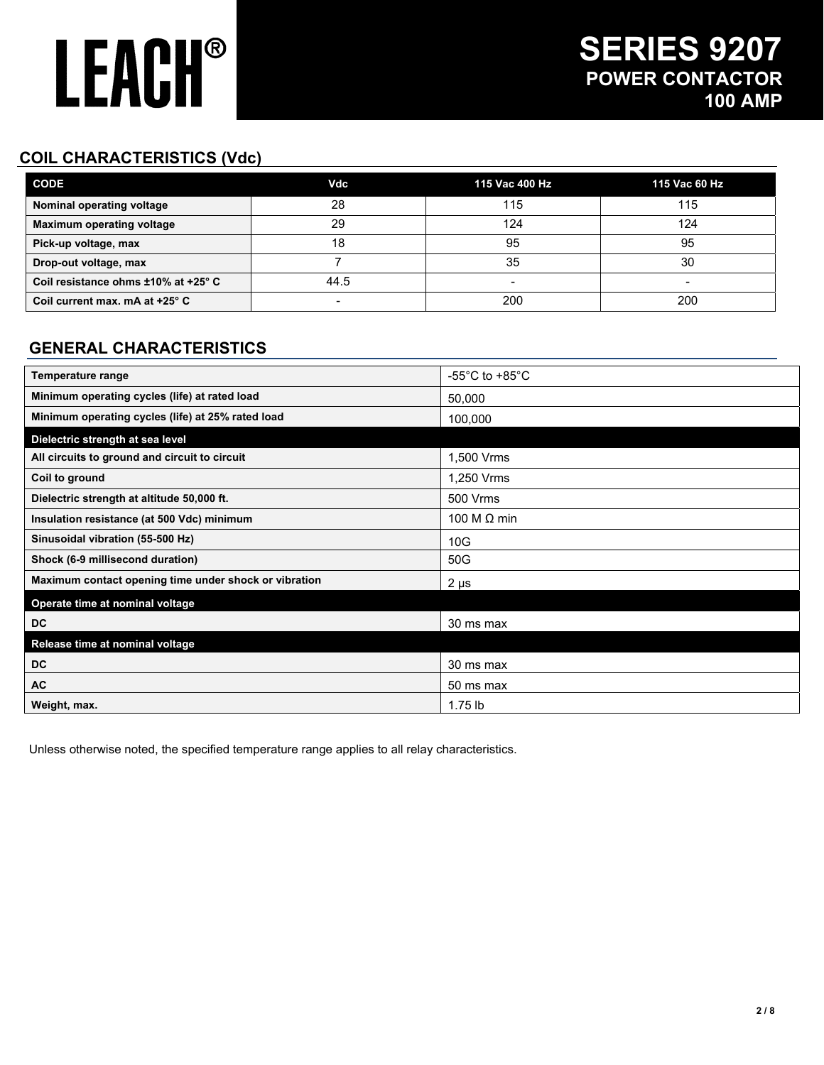### **COIL CHARACTERISTICS (Vdc)**

| <b>CODE</b>                         | Vdc  | 115 Vac 400 Hz           | 115 Vac 60 Hz |
|-------------------------------------|------|--------------------------|---------------|
| Nominal operating voltage           | 28   | 115                      | 115           |
| <b>Maximum operating voltage</b>    | 29   | 124                      | 124           |
| Pick-up voltage, max                | 18   | 95                       | 95            |
| Drop-out voltage, max               |      | 35                       | 30            |
| Coil resistance ohms ±10% at +25° C | 44.5 | $\overline{\phantom{a}}$ | -             |
| Coil current max. mA at +25° C      | -    | 200                      | 200           |

### **GENERAL CHARACTERISTICS**

| Temperature range                                     | -55 $^{\circ}$ C to +85 $^{\circ}$ C |
|-------------------------------------------------------|--------------------------------------|
| Minimum operating cycles (life) at rated load         | 50,000                               |
| Minimum operating cycles (life) at 25% rated load     | 100,000                              |
| Dielectric strength at sea level                      |                                      |
| All circuits to ground and circuit to circuit         | 1,500 Vrms                           |
| Coil to ground                                        | 1,250 Vrms                           |
| Dielectric strength at altitude 50,000 ft.            | 500 Vrms                             |
| Insulation resistance (at 500 Vdc) minimum            | 100 M $\Omega$ min                   |
| Sinusoidal vibration (55-500 Hz)                      | 10G                                  |
| Shock (6-9 millisecond duration)                      | 50G                                  |
| Maximum contact opening time under shock or vibration | $2 \mu s$                            |
| Operate time at nominal voltage                       |                                      |
| <b>DC</b>                                             | 30 ms max                            |
| Release time at nominal voltage                       |                                      |
| <b>DC</b>                                             | 30 ms max                            |
| AC                                                    | 50 ms max                            |
| Weight, max.                                          | $1.75$ lb                            |

Unless otherwise noted, the specified temperature range applies to all relay characteristics.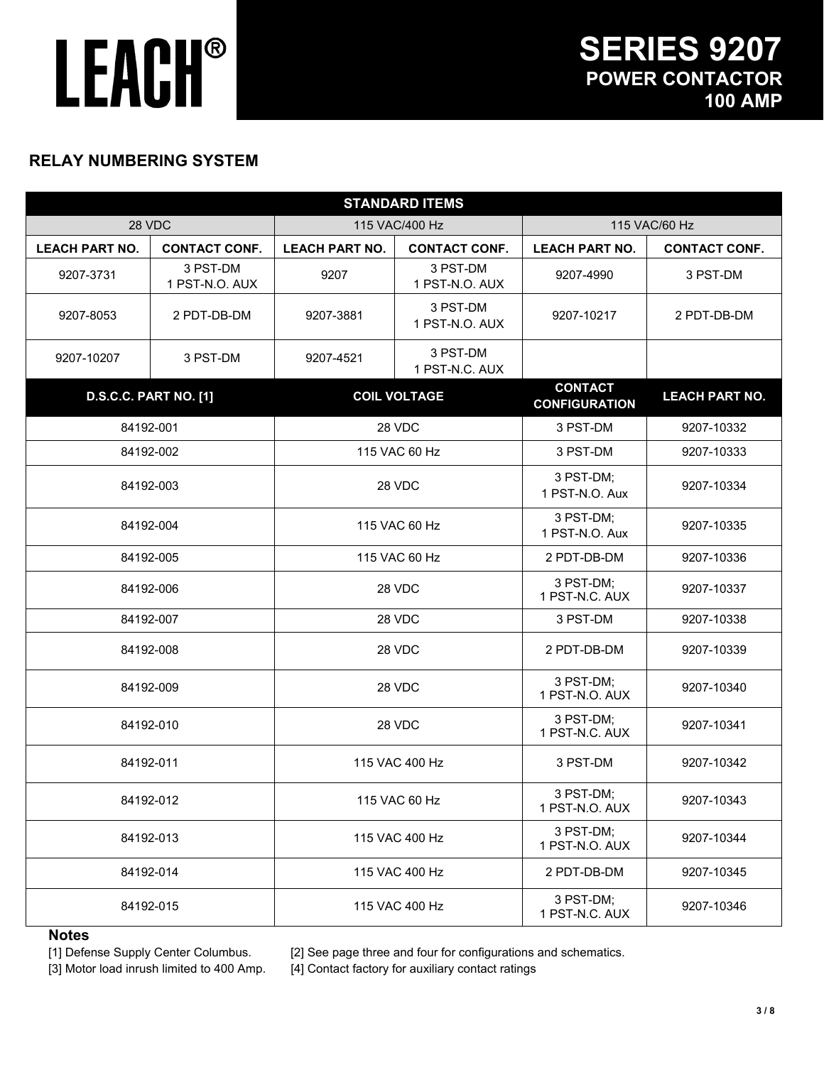#### **RELAY NUMBERING SYSTEM**

| <b>STANDARD ITEMS</b>       |                              |                             |                             |                                        |                             |            |
|-----------------------------|------------------------------|-----------------------------|-----------------------------|----------------------------------------|-----------------------------|------------|
|                             | 28 VDC<br>115 VAC/400 Hz     |                             | 115 VAC/60 Hz               |                                        |                             |            |
| <b>LEACH PART NO.</b>       | <b>CONTACT CONF.</b>         | <b>LEACH PART NO.</b>       | <b>CONTACT CONF.</b>        | <b>LEACH PART NO.</b>                  | <b>CONTACT CONF.</b>        |            |
| 9207-3731                   | 3 PST-DM<br>1 PST-N.O. AUX   | 9207                        | 3 PST-DM<br>1 PST-N.O. AUX  | 9207-4990                              | 3 PST-DM                    |            |
| 9207-8053                   | 2 PDT-DB-DM                  | 9207-3881                   | 3 PST-DM<br>1 PST-N.O. AUX  | 9207-10217                             | 2 PDT-DB-DM                 |            |
| 9207-10207                  | 3 PST-DM                     | 9207-4521                   | 3 PST-DM<br>1 PST-N.C. AUX  |                                        |                             |            |
|                             | <b>D.S.C.C. PART NO. [1]</b> |                             | <b>COIL VOLTAGE</b>         | <b>CONTACT</b><br><b>CONFIGURATION</b> | <b>LEACH PART NO.</b>       |            |
|                             | 84192-001                    |                             | 28 VDC                      | 3 PST-DM                               | 9207-10332                  |            |
|                             | 84192-002                    |                             | 115 VAC 60 Hz               | 3 PST-DM                               | 9207-10333                  |            |
|                             | 84192-003                    |                             | 28 VDC                      | 3 PST-DM;<br>1 PST-N.O. Aux            | 9207-10334                  |            |
| 84192-004<br>115 VAC 60 Hz  |                              | 3 PST-DM;<br>1 PST-N.O. Aux | 9207-10335                  |                                        |                             |            |
| 84192-005                   |                              | 115 VAC 60 Hz               |                             | 2 PDT-DB-DM                            | 9207-10336                  |            |
| 28 VDC<br>84192-006         |                              |                             | 3 PST-DM;<br>1 PST-N.C. AUX | 9207-10337                             |                             |            |
| 28 VDC<br>84192-007         |                              | 3 PST-DM                    | 9207-10338                  |                                        |                             |            |
|                             | 84192-008                    |                             | 28 VDC                      | 2 PDT-DB-DM                            | 9207-10339                  |            |
|                             | 28 VDC<br>84192-009          |                             |                             |                                        | 3 PST-DM;<br>1 PST-N.O. AUX | 9207-10340 |
| 28 VDC<br>84192-010         |                              | 3 PST-DM;<br>1 PST-N.C. AUX | 9207-10341                  |                                        |                             |            |
| 84192-011<br>115 VAC 400 Hz |                              |                             | 3 PST-DM                    | 9207-10342                             |                             |            |
| 84192-012<br>115 VAC 60 Hz  |                              |                             | 3 PST-DM;<br>1 PST-N.O. AUX | 9207-10343                             |                             |            |
|                             | 84192-013                    |                             | 115 VAC 400 Hz              |                                        | 9207-10344                  |            |
|                             | 84192-014                    | 115 VAC 400 Hz              |                             | 2 PDT-DB-DM                            | 9207-10345                  |            |
|                             | 84192-015                    |                             | 115 VAC 400 Hz              | 3 PST-DM;<br>1 PST-N.C. AUX            | 9207-10346                  |            |

#### **Notes**

[1] Defense Supply Center Columbus. [2] See page three and four for configurations and schematics.

[3] Motor load inrush limited to 400 Amp. [4] Contact factory for auxiliary contact ratings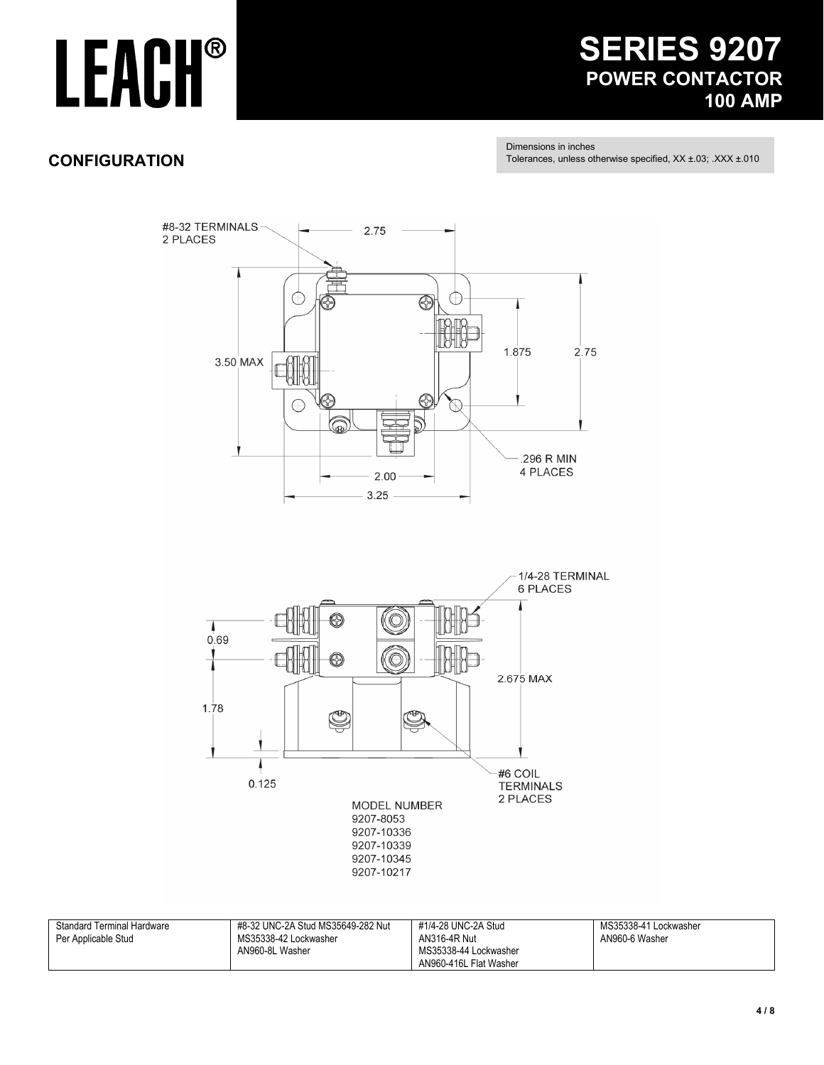### **SERIES 9207 POWER CONTACTOR 100 AMP**

### **CONFIGURATION**

Dimensions in inches

Tolerances, unless otherwise specified, XX ±.03; .XXX ±.010





| <b>Standard Terminal Hardware</b> | #8-32 UNC-2A Stud MS35649-282 Nut | #1/4-28 UNC-2A Stud    | MS35338-41 Lockwasher |
|-----------------------------------|-----------------------------------|------------------------|-----------------------|
| Per Applicable Stud               | MS35338-42 Lockwasher             | AN316-4R Nut           | AN960-6 Washer        |
|                                   | AN960-8L Washer                   | MS35338-44 Lockwasher  |                       |
|                                   |                                   | AN960-416L Flat Washer |                       |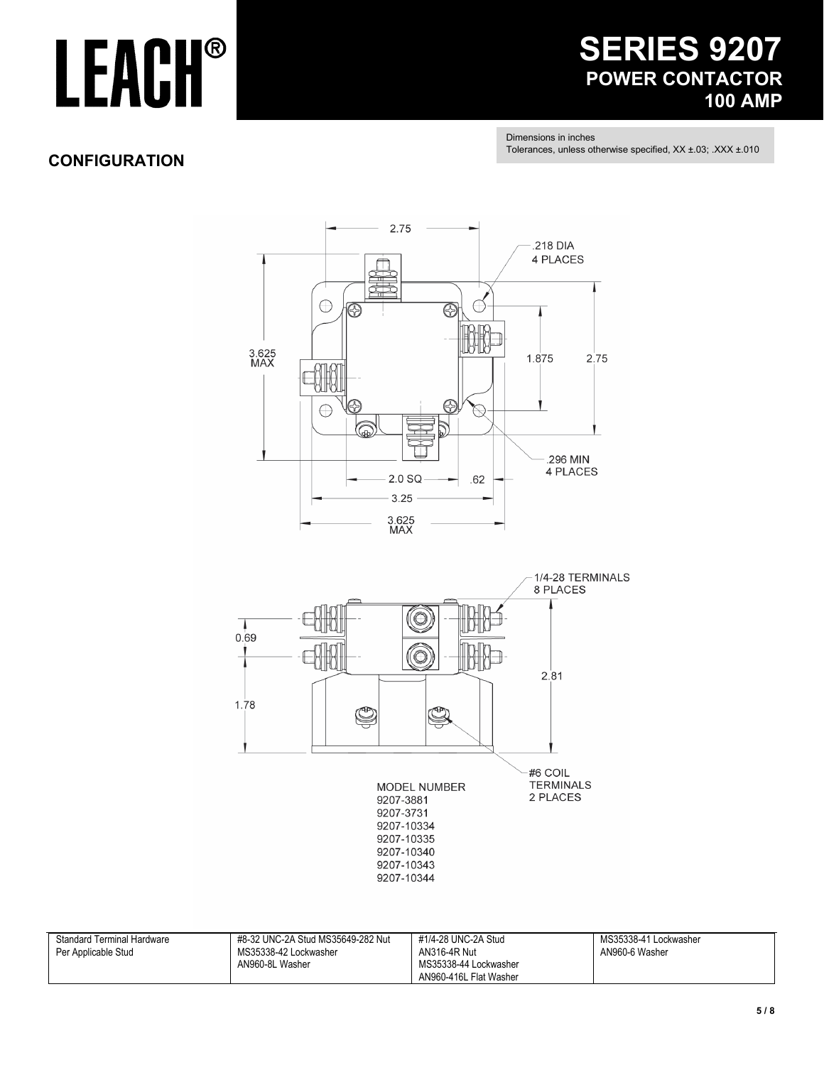### **SERIES 9207 POWER CONTACTOR 100 AMP**

Dimensions in inches Tolerances, unless otherwise specified, XX ±.03; .XXX ±.010

### **CONFIGURATION**



| <b>Standard Terminal Hardware</b> | #8-32 UNC-2A Stud MS35649-282 Nut | #1/4-28 UNC-2A Stud    | MS35338-41 Lockwasher |
|-----------------------------------|-----------------------------------|------------------------|-----------------------|
| Per Applicable Stud               | MS35338-42 Lockwasher             | AN316-4R Nut           | AN960-6 Washer        |
|                                   | AN960-8L Washer                   | MS35338-44 Lockwasher  |                       |
|                                   |                                   | AN960-416L Flat Washer |                       |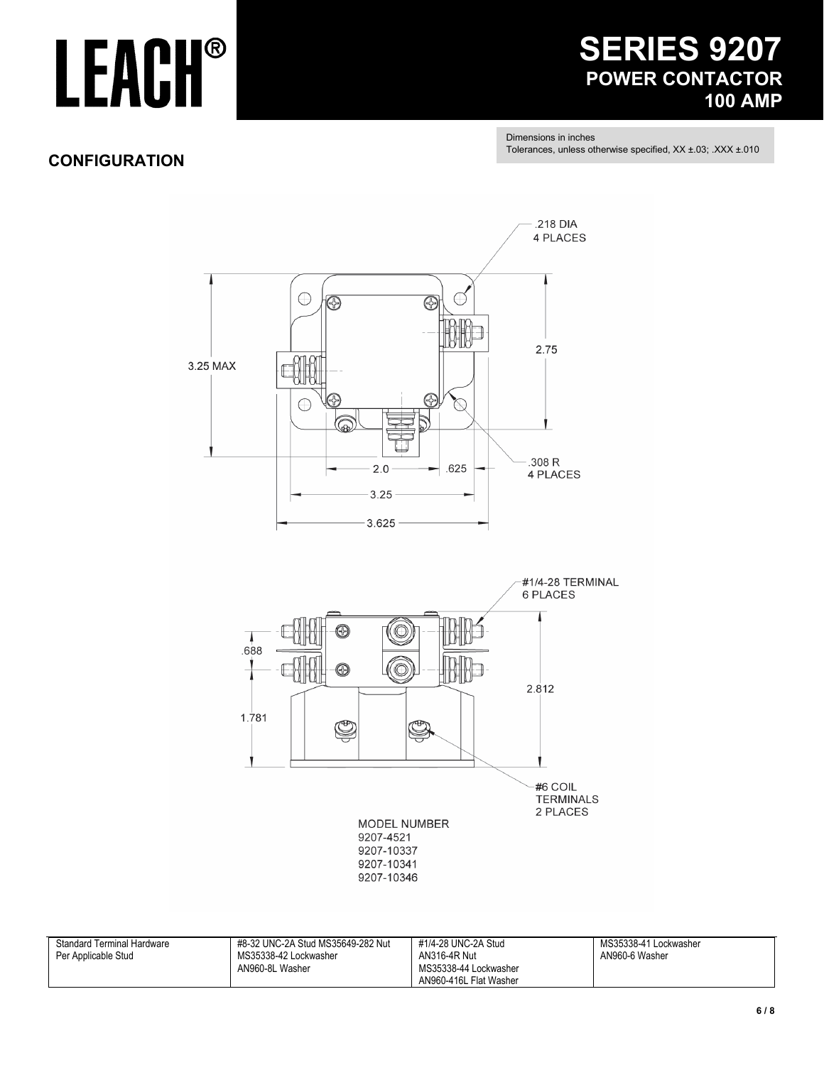### **SERIES 9207 POWER CONTACTOR 100 AMP**

Dimensions in inches Tolerances, unless otherwise specified, XX ±.03; .XXX ±.010

### **CONFIGURATION**



| <b>Standard Terminal Hardware</b> | #8-32 UNC-2A Stud MS35649-282 Nut | #1/4-28 UNC-2A Stud    | MS35338-41 Lockwasher |
|-----------------------------------|-----------------------------------|------------------------|-----------------------|
| Per Applicable Stud               | MS35338-42 Lockwasher             | AN316-4R Nut           | AN960-6 Washer        |
|                                   | AN960-8L Washer                   | MS35338-44 Lockwasher  |                       |
|                                   |                                   | AN960-416L Flat Washer |                       |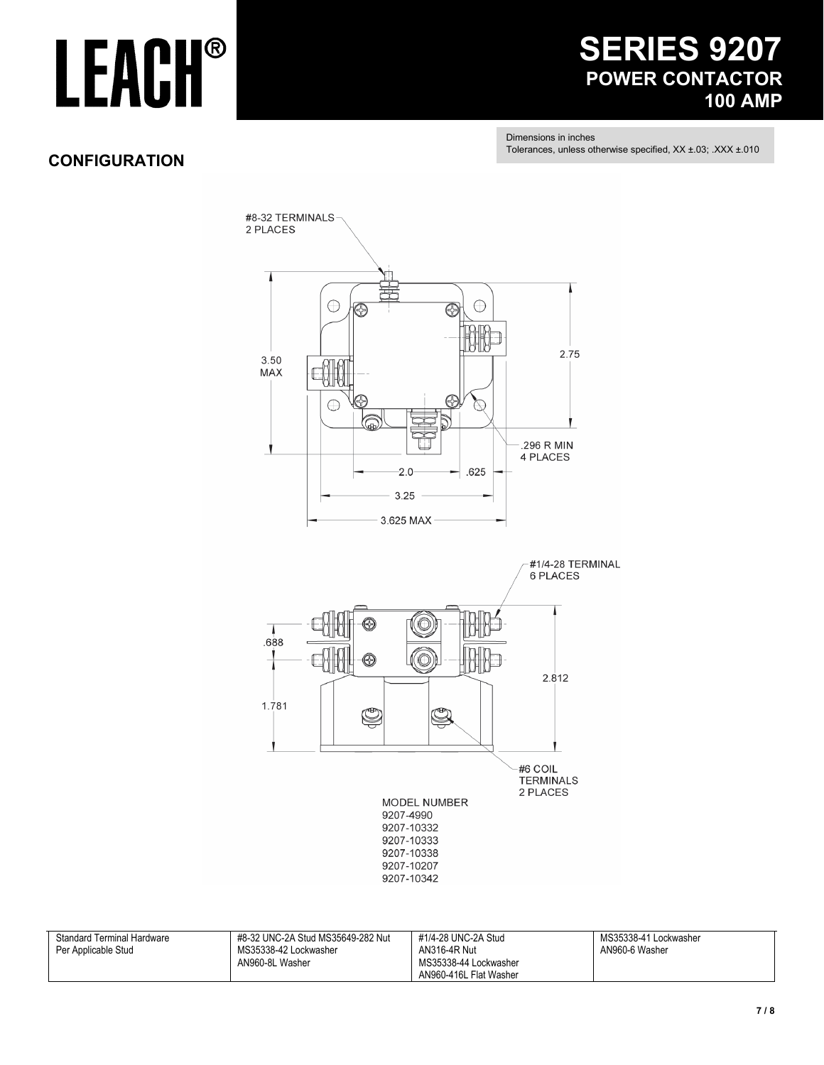### **SERIES 9207 POWER CONTACTOR 100 AMP**

Dimensions in inches Tolerances, unless otherwise specified, XX ±.03; .XXX ±.010

#### **CONFIGURATION**



| <b>Standard Terminal Hardware</b> | #8-32 UNC-2A Stud MS35649-282 Nut | #1/4-28 UNC-2A Stud    | MS35338-41 Lockwasher |
|-----------------------------------|-----------------------------------|------------------------|-----------------------|
| Per Applicable Stud               | MS35338-42 Lockwasher             | AN316-4R Nut           | AN960-6 Washer        |
|                                   | AN960-8L Washer                   | MS35338-44 Lockwasher  |                       |
|                                   |                                   | AN960-416L Flat Washer |                       |